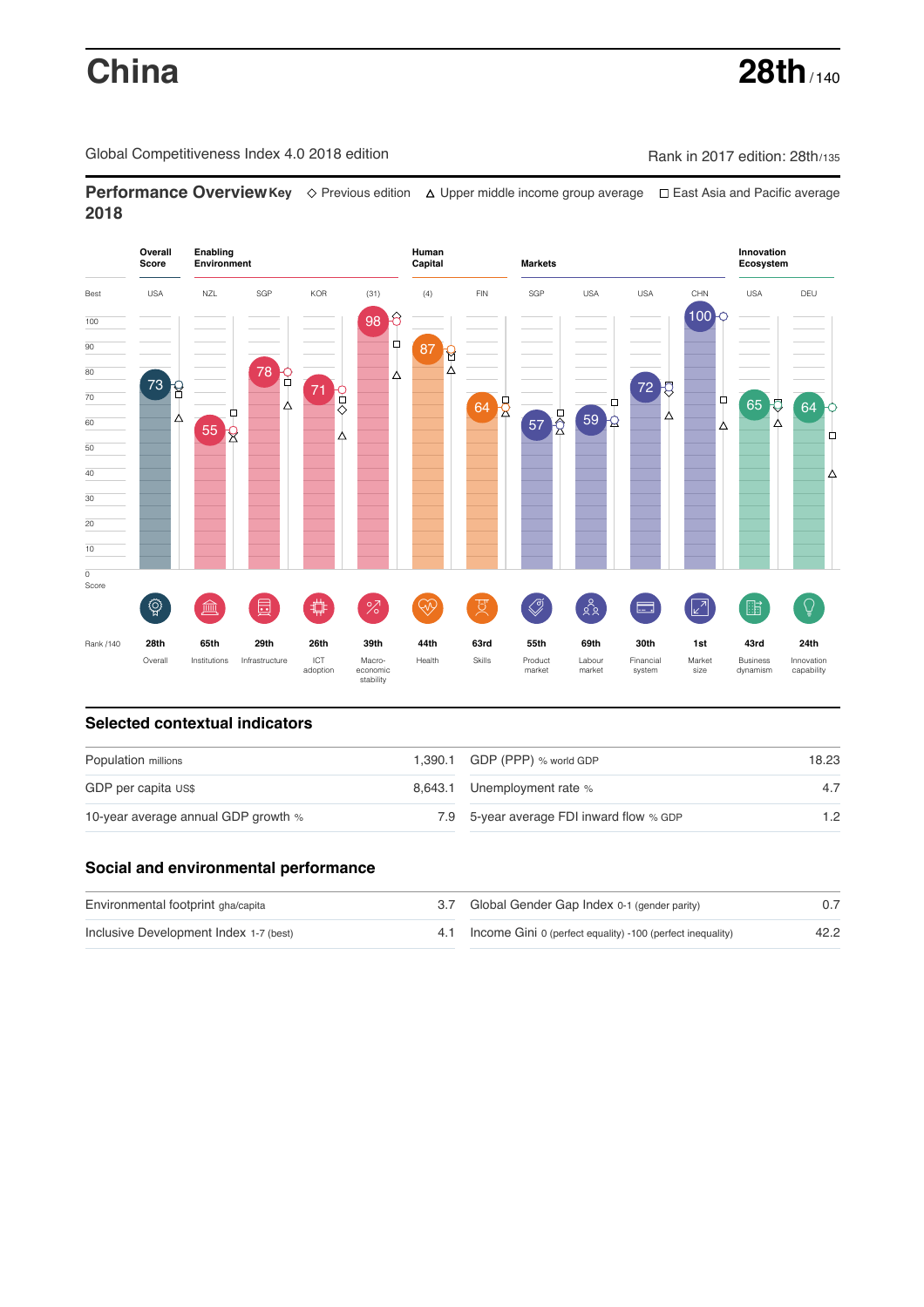# **China 28th** / 140

Global Competitiveness Index 4.0 2018 edition Company Rank in 2017 edition: 28th/135

**Performance OverviewKey** Previous edition Upper middle income group average East Asia and Pacific average **2018**



### **Selected contextual indicators**

| Population millions                 | 1,390.1 GDP (PPP) % world GDP            | 18.23 |  |
|-------------------------------------|------------------------------------------|-------|--|
| GDP per capita US\$                 | 8,643.1 Unemployment rate %              | 4.7   |  |
| 10-year average annual GDP growth % | 7.9 5-year average FDI inward flow % GDP | 1.2   |  |

# **Social and environmental performance**

| Environmental footprint gha/capita     | 3.7 Global Gender Gap Index 0-1 (gender parity)                |      |
|----------------------------------------|----------------------------------------------------------------|------|
| Inclusive Development Index 1-7 (best) | 4.1 Income Gini 0 (perfect equality) -100 (perfect inequality) | 42.2 |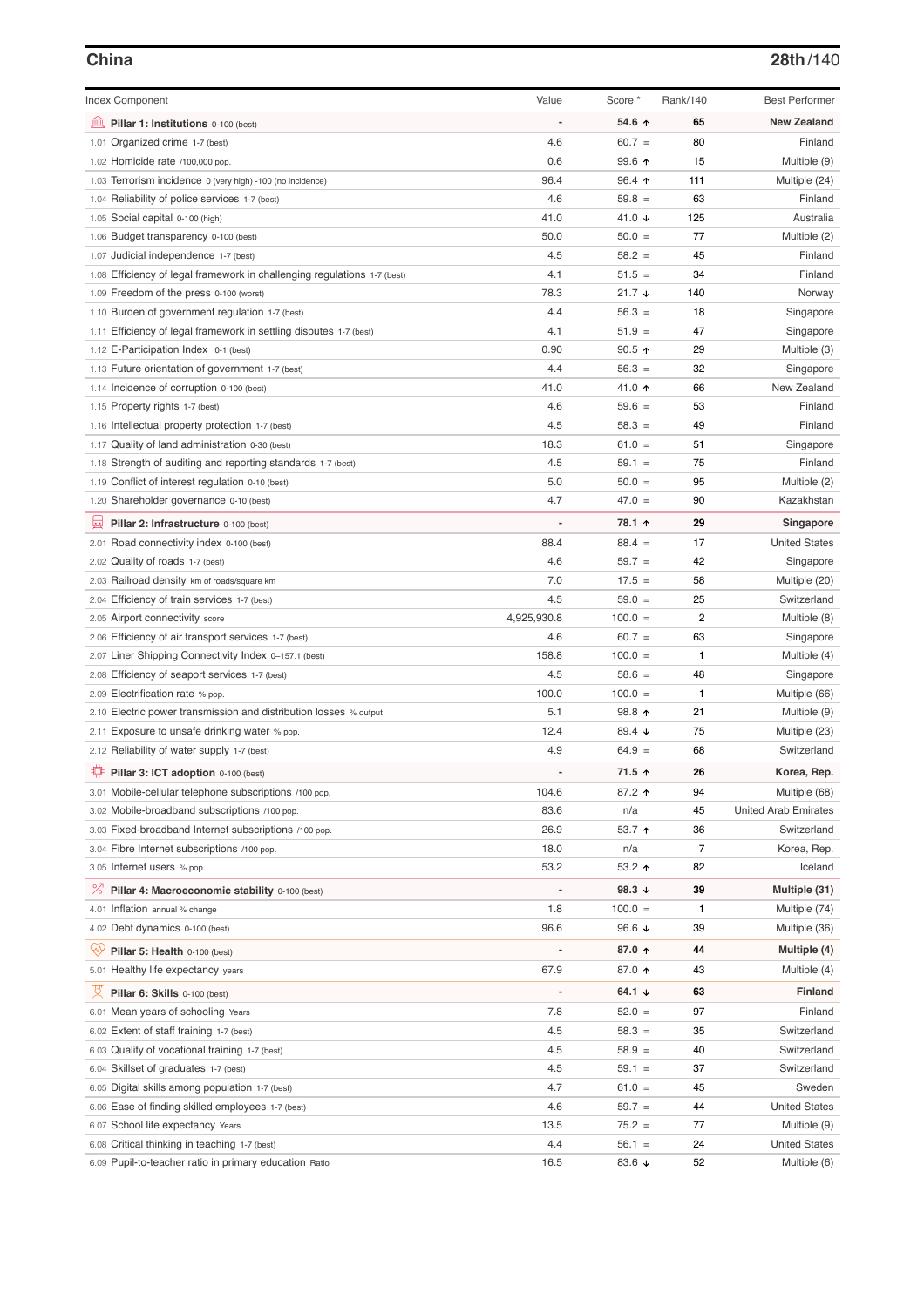# **China 28th**/140

| <b>Index Component</b>                                                                     | Value                    | Score *         | Rank/140       | <b>Best Performer</b>       |
|--------------------------------------------------------------------------------------------|--------------------------|-----------------|----------------|-----------------------------|
| 寙<br>Pillar 1: Institutions 0-100 (best)                                                   |                          | 54.6 ↑          | 65             | <b>New Zealand</b>          |
| 1.01 Organized crime 1-7 (best)                                                            | 4.6                      | $60.7 =$        | 80             | Finland                     |
| 1.02 Homicide rate /100,000 pop.                                                           | 0.6                      | 99.6 ↑          | 15             | Multiple (9)                |
| 1.03 Terrorism incidence 0 (very high) -100 (no incidence)                                 | 96.4                     | $96.4$ ↑        | 111            | Multiple (24)               |
| 1.04 Reliability of police services 1-7 (best)                                             | 4.6                      | $59.8 =$        | 63             | Finland                     |
| 1.05 Social capital 0-100 (high)                                                           | 41.0                     | 41.0 $\sqrt{ }$ | 125            | Australia                   |
| 1.06 Budget transparency 0-100 (best)                                                      | 50.0                     | $50.0 =$        | 77             | Multiple (2)                |
| 1.07 Judicial independence 1-7 (best)                                                      | 4.5                      | $58.2 =$        | 45             | Finland                     |
| 1.08 Efficiency of legal framework in challenging regulations 1-7 (best)                   | 4.1                      | $51.5 =$        | 34             | Finland                     |
| 1.09 Freedom of the press 0-100 (worst)                                                    | 78.3                     | $21.7 +$        | 140            | Norway                      |
| 1.10 Burden of government regulation 1-7 (best)                                            | 4.4                      | $56.3 =$        | 18             | Singapore                   |
| 1.11 Efficiency of legal framework in settling disputes 1-7 (best)                         | 4.1                      | $51.9 =$        | 47             | Singapore                   |
| 1.12 E-Participation Index 0-1 (best)                                                      | 0.90                     | $90.5$ ↑        | 29             | Multiple (3)                |
| 1.13 Future orientation of government 1-7 (best)                                           | 4.4                      | $56.3 =$        | 32             | Singapore                   |
| 1.14 Incidence of corruption 0-100 (best)                                                  | 41.0                     | 41.0 ↑          | 66             | New Zealand                 |
| 1.15 Property rights 1-7 (best)                                                            | 4.6                      | $59.6 =$        | 53             | Finland                     |
| 1.16 Intellectual property protection 1-7 (best)                                           | 4.5                      | $58.3 =$        | 49             | Finland                     |
| 1.17 Quality of land administration 0-30 (best)                                            | 18.3                     | $61.0 =$        | 51             | Singapore                   |
| 1.18 Strength of auditing and reporting standards 1-7 (best)                               | 4.5                      | $59.1 =$        | 75             | Finland                     |
| 1.19 Conflict of interest regulation 0-10 (best)                                           | 5.0                      | $50.0 =$        | 95             | Multiple (2)                |
| 1.20 Shareholder governance 0-10 (best)                                                    | 4.7                      | $47.0 =$        | 90             | Kazakhstan                  |
|                                                                                            |                          |                 |                |                             |
| 圓<br>Pillar 2: Infrastructure 0-100 (best)                                                 |                          | 78.1 ↑          | 29             | Singapore                   |
| 2.01 Road connectivity index 0-100 (best)                                                  | 88.4                     | $88.4 =$        | 17             | <b>United States</b>        |
| 2.02 Quality of roads 1-7 (best)                                                           | 4.6                      | $59.7 =$        | 42             | Singapore                   |
| 2.03 Railroad density km of roads/square km                                                | 7.0                      | $17.5 =$        | 58             | Multiple (20)               |
| 2.04 Efficiency of train services 1-7 (best)                                               | 4.5                      | $59.0 =$        | 25             | Switzerland                 |
| 2.05 Airport connectivity score                                                            | 4,925,930.8              | $100.0 =$       | $\overline{2}$ | Multiple (8)                |
| 2.06 Efficiency of air transport services 1-7 (best)                                       | 4.6                      | $60.7 =$        | 63             | Singapore                   |
| 2.07 Liner Shipping Connectivity Index 0-157.1 (best)                                      | 158.8                    | $100.0 =$       | $\mathbf{1}$   | Multiple (4)                |
| 2.08 Efficiency of seaport services 1-7 (best)                                             | 4.5                      | $58.6 =$        | 48             | Singapore                   |
| 2.09 Electrification rate % pop.                                                           | 100.0                    | $100.0 =$       | $\mathbf{1}$   | Multiple (66)               |
| 2.10 Electric power transmission and distribution losses % output                          | 5.1                      | 98.8 ↑          | 21             | Multiple (9)                |
| 2.11 Exposure to unsafe drinking water % pop.                                              | 12.4                     | 89.4 ↓          | 75             | Multiple (23)               |
| 2.12 Reliability of water supply 1-7 (best)                                                | 4.9                      | $64.9 =$        | 68             | Switzerland                 |
| ₽<br>Pillar 3: ICT adoption 0-100 (best)                                                   |                          | 71.5 ↑          | 26             | Korea, Rep.                 |
| 3.01 Mobile-cellular telephone subscriptions /100 pop.                                     | 104.6                    | 87.2 ↑          | 94             | Multiple (68)               |
| 3.02 Mobile-broadband subscriptions /100 pop.                                              | 83.6                     | n/a             | 45             | <b>United Arab Emirates</b> |
| 3.03 Fixed-broadband Internet subscriptions /100 pop.                                      | 26.9                     | 53.7 个          | 36             | Switzerland                 |
| 3.04 Fibre Internet subscriptions /100 pop.                                                | 18.0                     | n/a             | $\overline{7}$ | Korea, Rep.                 |
| 3.05 Internet users % pop.                                                                 | 53.2                     | 53.2 $\uparrow$ | 82             | Iceland                     |
| ℅<br>Pillar 4: Macroeconomic stability 0-100 (best)                                        | $\overline{\phantom{0}}$ | 98.3 ↓          | 39             | Multiple (31)               |
| 4.01 Inflation annual % change                                                             | 1.8                      | $100.0 =$       | $\mathbf{1}$   | Multiple (74)               |
| 4.02 Debt dynamics 0-100 (best)                                                            | 96.6                     | 96.6 $\sqrt{ }$ | 39             | Multiple (36)               |
| Qÿ<br>Pillar 5: Health 0-100 (best)                                                        |                          | 87.0 ↑          | 44             | Multiple (4)                |
| 5.01 Healthy life expectancy years                                                         | 67.9                     | 87.0 ↑          | 43             | Multiple (4)                |
| 섯<br>Pillar 6: Skills 0-100 (best)                                                         | -                        | 64.1 $\sqrt{ }$ | 63             | Finland                     |
| 6.01 Mean years of schooling Years                                                         | 7.8                      | $52.0 =$        | 97             | Finland                     |
|                                                                                            | 4.5                      | $58.3 =$        | 35             | Switzerland                 |
| 6.02 Extent of staff training 1-7 (best)<br>6.03 Quality of vocational training 1-7 (best) | 4.5                      | $58.9 =$        | 40             | Switzerland                 |
| 6.04 Skillset of graduates 1-7 (best)                                                      | 4.5                      | $59.1 =$        | 37             | Switzerland                 |
| 6.05 Digital skills among population 1-7 (best)                                            | 4.7                      | $61.0 =$        | 45             | Sweden                      |
| 6.06 Ease of finding skilled employees 1-7 (best)                                          | 4.6                      | $59.7 =$        | 44             | <b>United States</b>        |
| 6.07 School life expectancy Years                                                          | 13.5                     | $75.2 =$        | 77             | Multiple (9)                |
| 6.08 Critical thinking in teaching 1-7 (best)                                              | 4.4                      | $56.1 =$        | 24             | <b>United States</b>        |
| 6.09 Pupil-to-teacher ratio in primary education Ratio                                     | 16.5                     | 83.6 $\sqrt{ }$ | 52             | Multiple (6)                |
|                                                                                            |                          |                 |                |                             |